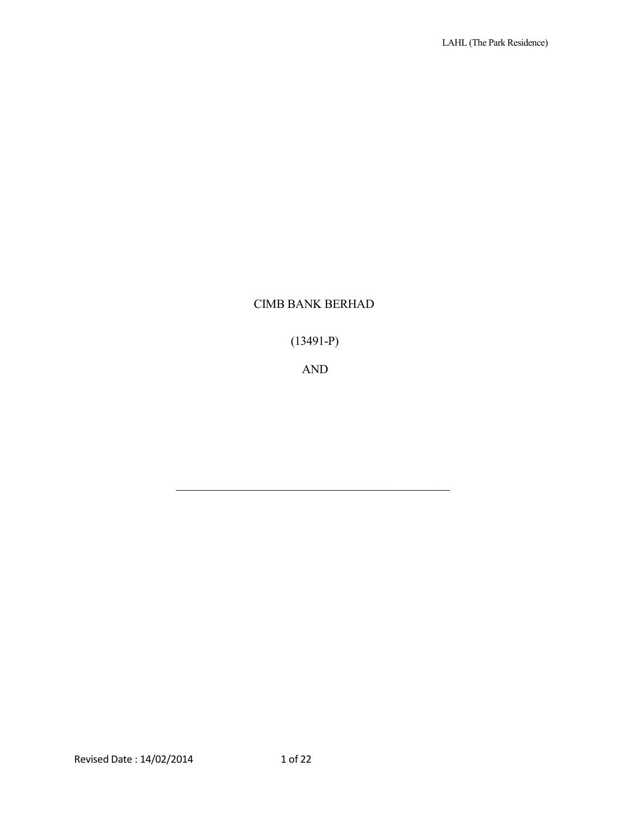# CIMB BANK BERHAD

(13491-P)

AND

\_\_\_\_\_\_\_\_\_\_\_\_\_\_\_\_\_\_\_\_\_\_\_\_\_\_\_\_\_\_\_\_\_\_\_\_\_\_\_\_\_\_\_\_\_\_\_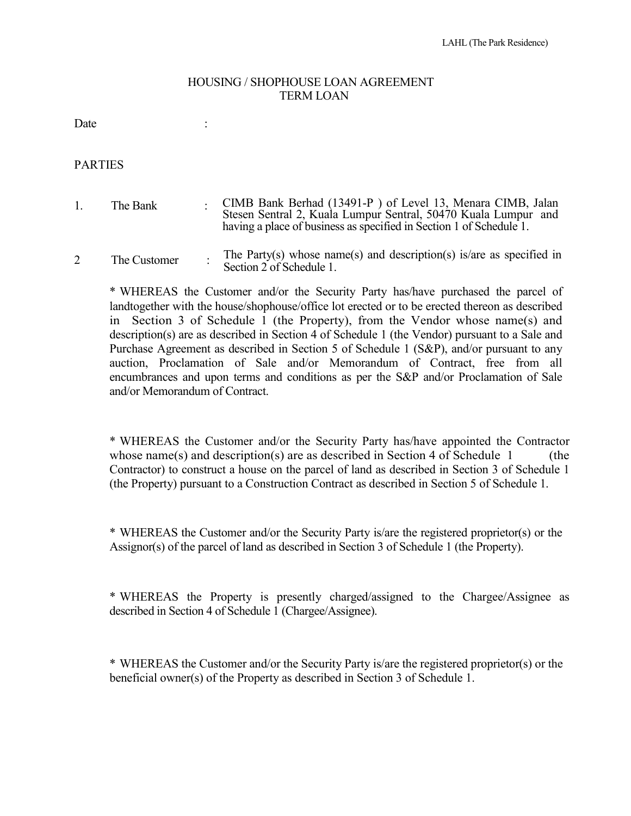#### HOUSING / SHOPHOUSE LOAN AGREEMENT TERM LOAN

Date : the state of the state of the state of the state of the state of the state of the state of the state of the state of the state of the state of the state of the state of the state of the state of the state of the sta

PARTIES

- 1. The Bank CIMB Bank Berhad (13491-P ) of Level 13, Menara CIMB, Jalan Stesen Sentral 2, Kuala Lumpur Sentral, 50470 Kuala Lumpur and having a place of business as specified in Section 1 of Schedule 1.
- 2 The Customer The Party(s) whose name(s) and description(s) is/are as specified in Section 2 of Schedule 1.

\* WHEREAS the Customer and/or the Security Party has/have purchased the parcel of landtogether with the house/shophouse/office lot erected or to be erected thereon as described in Section 3 of Schedule 1 (the Property), from the Vendor whose name(s) and description(s) are as described in Section 4 of Schedule 1 (the Vendor) pursuant to a Sale and Purchase Agreement as described in Section 5 of Schedule 1 (S&P), and/or pursuant to any auction, Proclamation of Sale and/or Memorandum of Contract, free from all encumbrances and upon terms and conditions as per the S&P and/or Proclamation of Sale and/or Memorandum of Contract.

\* WHEREAS the Customer and/or the Security Party has/have appointed the Contractor whose name(s) and description(s) are as described in Section 4 of Schedule  $1$  (the Contractor) to construct a house on the parcel of land as described in Section 3 of Schedule 1 (the Property) pursuant to a Construction Contract as described in Section 5 of Schedule 1.

\* WHEREAS the Customer and/or the Security Party is/are the registered proprietor(s) or the Assignor(s) of the parcel of land as described in Section 3 of Schedule 1 (the Property).

\* WHEREAS the Property is presently charged/assigned to the Chargee/Assignee as described in Section 4 of Schedule 1 (Chargee/Assignee).

\* WHEREAS the Customer and/or the Security Party is/are the registered proprietor(s) or the beneficial owner(s) of the Property as described in Section 3 of Schedule 1.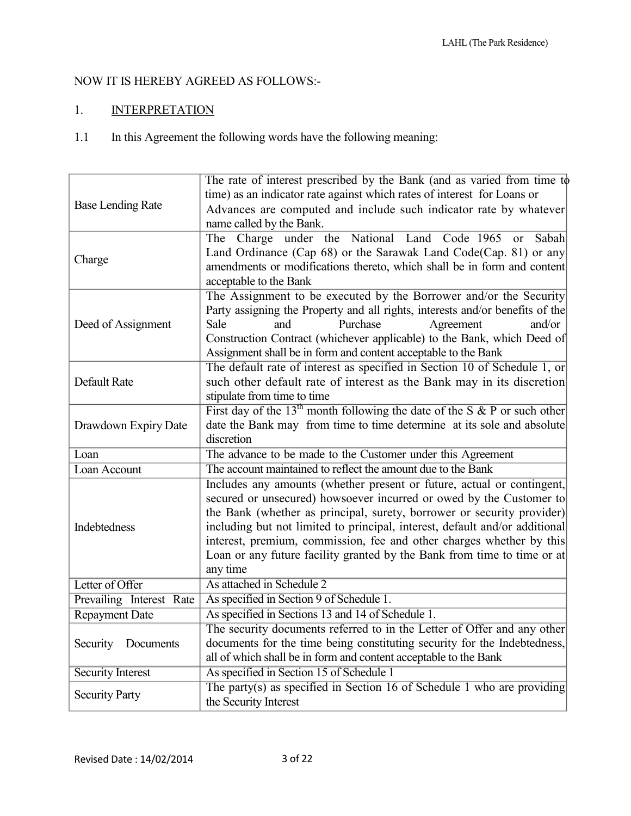## NOW IT IS HEREBY AGREED AS FOLLOWS:-

# 1. INTERPRETATION

1.1 In this Agreement the following words have the following meaning:

|                          | The rate of interest prescribed by the Bank (and as varied from time to       |  |  |
|--------------------------|-------------------------------------------------------------------------------|--|--|
| <b>Base Lending Rate</b> | time) as an indicator rate against which rates of interest for Loans or       |  |  |
|                          | Advances are computed and include such indicator rate by whatever             |  |  |
|                          | name called by the Bank.                                                      |  |  |
|                          | The Charge under the National Land Code 1965<br>Sabah<br><b>or</b>            |  |  |
|                          |                                                                               |  |  |
| Charge                   | Land Ordinance (Cap 68) or the Sarawak Land Code(Cap. 81) or any              |  |  |
|                          | amendments or modifications thereto, which shall be in form and content       |  |  |
|                          | acceptable to the Bank                                                        |  |  |
|                          | The Assignment to be executed by the Borrower and/or the Security             |  |  |
|                          | Party assigning the Property and all rights, interests and/or benefits of the |  |  |
| Deed of Assignment       | Purchase<br>Sale<br>Agreement<br>and<br>and/or                                |  |  |
|                          | Construction Contract (whichever applicable) to the Bank, which Deed of       |  |  |
|                          | Assignment shall be in form and content acceptable to the Bank                |  |  |
|                          | The default rate of interest as specified in Section 10 of Schedule 1, or     |  |  |
| Default Rate             | such other default rate of interest as the Bank may in its discretion         |  |  |
|                          | stipulate from time to time                                                   |  |  |
|                          | First day of the $13th$ month following the date of the S & P or such other   |  |  |
| Drawdown Expiry Date     | date the Bank may from time to time determine at its sole and absolute        |  |  |
|                          | discretion                                                                    |  |  |
| Loan                     | The advance to be made to the Customer under this Agreement                   |  |  |
| Loan Account             | The account maintained to reflect the amount due to the Bank                  |  |  |
|                          | Includes any amounts (whether present or future, actual or contingent,        |  |  |
|                          | secured or unsecured) howsoever incurred or owed by the Customer to           |  |  |
|                          | the Bank (whether as principal, surety, borrower or security provider)        |  |  |
| Indebtedness             | including but not limited to principal, interest, default and/or additional   |  |  |
|                          | interest, premium, commission, fee and other charges whether by this          |  |  |
|                          | Loan or any future facility granted by the Bank from time to time or at       |  |  |
|                          | any time                                                                      |  |  |
| Letter of Offer          | As attached in Schedule 2                                                     |  |  |
| Prevailing Interest Rate | As specified in Section 9 of Schedule 1.                                      |  |  |
| <b>Repayment Date</b>    | As specified in Sections 13 and 14 of Schedule 1.                             |  |  |
| Security<br>Documents    | The security documents referred to in the Letter of Offer and any other       |  |  |
|                          | documents for the time being constituting security for the Indebtedness,      |  |  |
|                          | all of which shall be in form and content acceptable to the Bank              |  |  |
| <b>Security Interest</b> | As specified in Section 15 of Schedule 1                                      |  |  |
| <b>Security Party</b>    | The party(s) as specified in Section 16 of Schedule 1 who are providing       |  |  |
|                          | the Security Interest                                                         |  |  |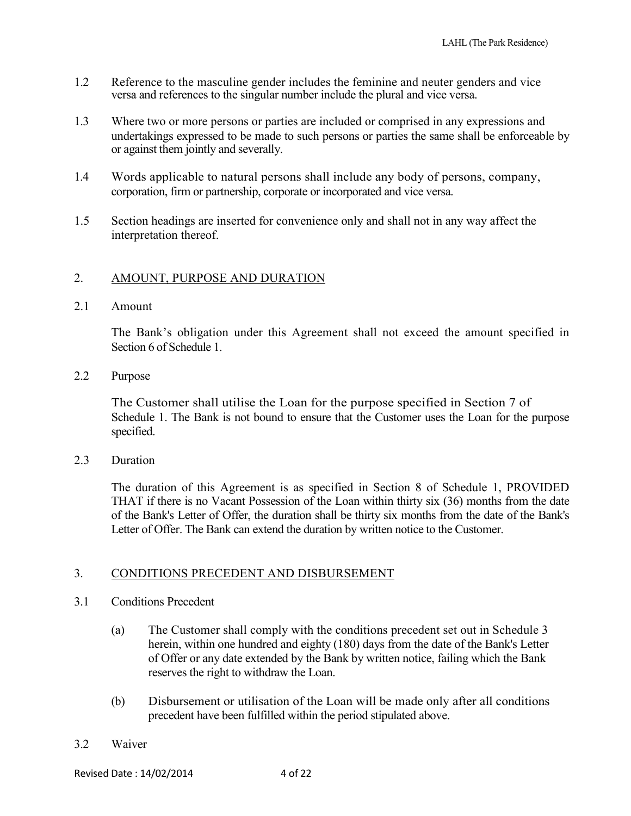- 1.2 Reference to the masculine gender includes the feminine and neuter genders and vice versa and references to the singular number include the plural and vice versa.
- 1.3 Where two or more persons or parties are included or comprised in any expressions and undertakings expressed to be made to such persons or parties the same shall be enforceable by or against them jointly and severally.
- 1.4 Words applicable to natural persons shall include any body of persons, company, corporation, firm or partnership, corporate or incorporated and vice versa.
- 1.5 Section headings are inserted for convenience only and shall not in any way affect the interpretation thereof.

## 2. AMOUNT, PURPOSE AND DURATION

#### 2.1 Amount

The Bank's obligation under this Agreement shall not exceed the amount specified in Section 6 of Schedule 1.

2.2 Purpose

The Customer shall utilise the Loan for the purpose specified in Section 7 of Schedule 1. The Bank is not bound to ensure that the Customer uses the Loan for the purpose specified.

2.3 Duration

The duration of this Agreement is as specified in Section 8 of Schedule 1, PROVIDED THAT if there is no Vacant Possession of the Loan within thirty six (36) months from the date of the Bank's Letter of Offer, the duration shall be thirty six months from the date of the Bank's Letter of Offer. The Bank can extend the duration by written notice to the Customer.

### 3. CONDITIONS PRECEDENT AND DISBURSEMENT

- 3.1 Conditions Precedent
	- (a) The Customer shall comply with the conditions precedent set out in Schedule 3 herein, within one hundred and eighty (180) days from the date of the Bank's Letter of Offer or any date extended by the Bank by written notice, failing which the Bank reserves the right to withdraw the Loan.
	- (b) Disbursement or utilisation of the Loan will be made only after all conditions precedent have been fulfilled within the period stipulated above.
- 3.2 Waiver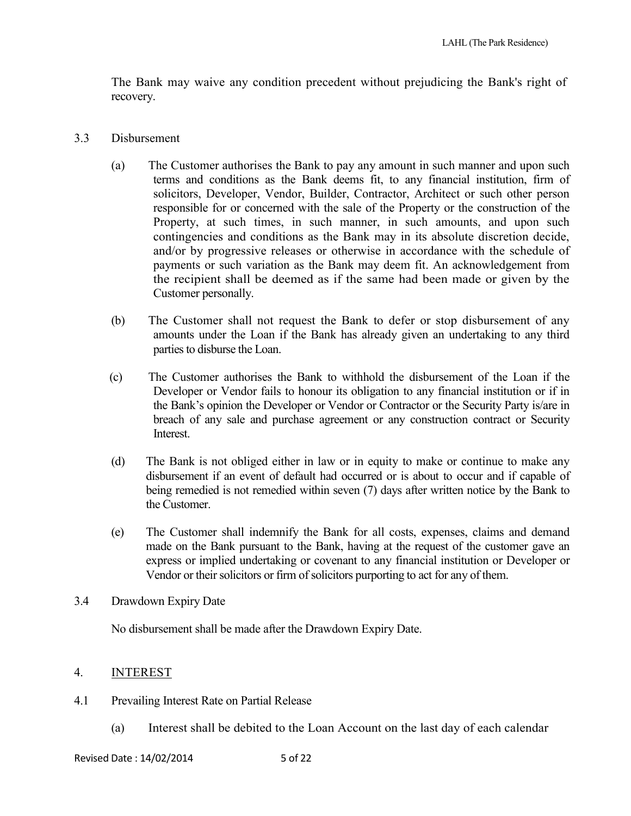The Bank may waive any condition precedent without prejudicing the Bank's right of recovery.

- 3.3 Disbursement
	- (a) The Customer authorises the Bank to pay any amount in such manner and upon such terms and conditions as the Bank deems fit, to any financial institution, firm of solicitors, Developer, Vendor, Builder, Contractor, Architect or such other person responsible for or concerned with the sale of the Property or the construction of the Property, at such times, in such manner, in such amounts, and upon such contingencies and conditions as the Bank may in its absolute discretion decide, and/or by progressive releases or otherwise in accordance with the schedule of payments or such variation as the Bank may deem fit. An acknowledgement from the recipient shall be deemed as if the same had been made or given by the Customer personally.
	- (b) The Customer shall not request the Bank to defer or stop disbursement of any amounts under the Loan if the Bank has already given an undertaking to any third parties to disburse the Loan.
	- (c) The Customer authorises the Bank to withhold the disbursement of the Loan if the Developer or Vendor fails to honour its obligation to any financial institution or if in the Bank's opinion the Developer or Vendor or Contractor or the Security Party is/are in breach of any sale and purchase agreement or any construction contract or Security Interest.
	- (d) The Bank is not obliged either in law or in equity to make or continue to make any disbursement if an event of default had occurred or is about to occur and if capable of being remedied is not remedied within seven (7) days after written notice by the Bank to the Customer.
	- (e) The Customer shall indemnify the Bank for all costs, expenses, claims and demand made on the Bank pursuant to the Bank, having at the request of the customer gave an express or implied undertaking or covenant to any financial institution or Developer or Vendor or their solicitors or firm of solicitors purporting to act for any of them.
- 3.4 Drawdown Expiry Date

No disbursement shall be made after the Drawdown Expiry Date.

## 4. INTEREST

- 4.1 Prevailing Interest Rate on Partial Release
	- (a) Interest shall be debited to the Loan Account on the last day of each calendar

Revised Date: 14/02/2014 5 of 22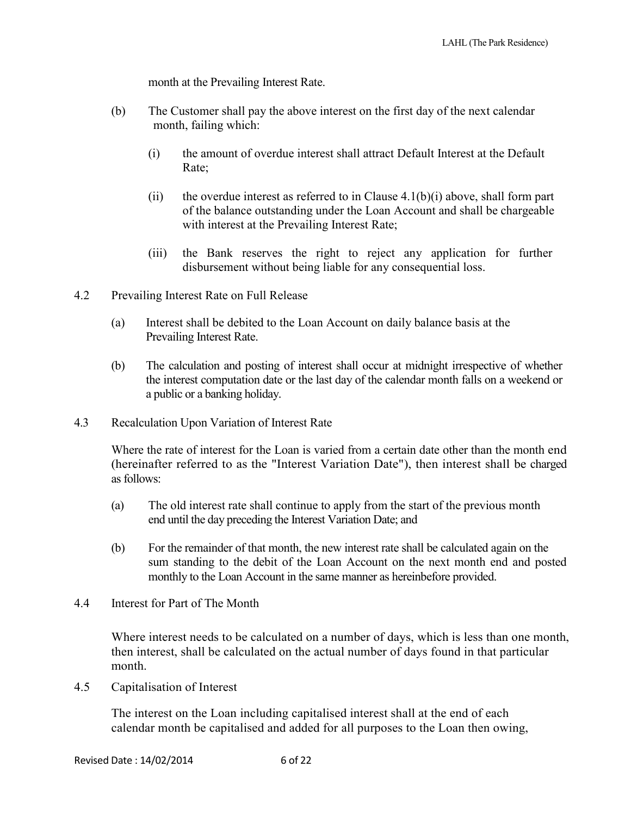month at the Prevailing Interest Rate.

- (b) The Customer shall pay the above interest on the first day of the next calendar month, failing which:
	- (i) the amount of overdue interest shall attract Default Interest at the Default Rate;
	- (ii) the overdue interest as referred to in Clause  $4.1(b)(i)$  above, shall form part of the balance outstanding under the Loan Account and shall be chargeable with interest at the Prevailing Interest Rate;
	- (iii) the Bank reserves the right to reject any application for further disbursement without being liable for any consequential loss.
- 4.2 Prevailing Interest Rate on Full Release
	- (a) Interest shall be debited to the Loan Account on daily balance basis at the Prevailing Interest Rate.
	- (b) The calculation and posting of interest shall occur at midnight irrespective of whether the interest computation date or the last day of the calendar month falls on a weekend or a public or a banking holiday.
- 4.3 Recalculation Upon Variation of Interest Rate

Where the rate of interest for the Loan is varied from a certain date other than the month end (hereinafter referred to as the "Interest Variation Date"), then interest shall be charged as follows:

- (a) The old interest rate shall continue to apply from the start of the previous month end until the day preceding the Interest Variation Date; and
- (b) For the remainder of that month, the new interest rate shall be calculated again on the sum standing to the debit of the Loan Account on the next month end and posted monthly to the Loan Account in the same manner as hereinbefore provided.
- 4.4 Interest for Part of The Month

Where interest needs to be calculated on a number of days, which is less than one month, then interest, shall be calculated on the actual number of days found in that particular month.

4.5 Capitalisation of Interest

The interest on the Loan including capitalised interest shall at the end of each calendar month be capitalised and added for all purposes to the Loan then owing,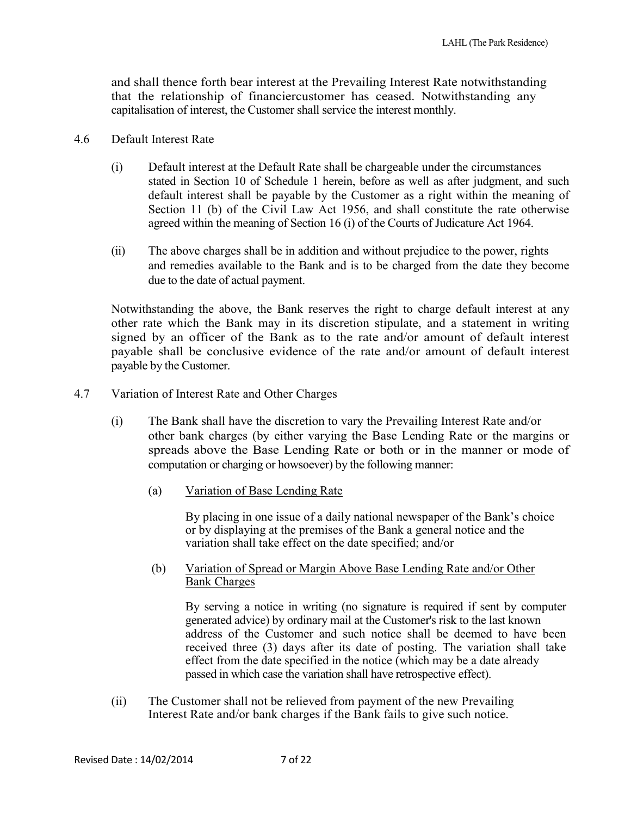and shall thence forth bear interest at the Prevailing Interest Rate notwithstanding that the relationship of financiercustomer has ceased. Notwithstanding any capitalisation of interest, the Customer shall service the interest monthly.

### 4.6 Default Interest Rate

- (i) Default interest at the Default Rate shall be chargeable under the circumstances stated in Section 10 of Schedule 1 herein, before as well as after judgment, and such default interest shall be payable by the Customer as a right within the meaning of Section 11 (b) of the Civil Law Act 1956, and shall constitute the rate otherwise agreed within the meaning of Section 16 (i) of the Courts of Judicature Act 1964.
- (ii) The above charges shall be in addition and without prejudice to the power, rights and remedies available to the Bank and is to be charged from the date they become due to the date of actual payment.

Notwithstanding the above, the Bank reserves the right to charge default interest at any other rate which the Bank may in its discretion stipulate, and a statement in writing signed by an officer of the Bank as to the rate and/or amount of default interest payable shall be conclusive evidence of the rate and/or amount of default interest payable by the Customer.

- 4.7 Variation of Interest Rate and Other Charges
	- (i) The Bank shall have the discretion to vary the Prevailing Interest Rate and/or other bank charges (by either varying the Base Lending Rate or the margins or spreads above the Base Lending Rate or both or in the manner or mode of computation or charging or howsoever) by the following manner:
		- (a) Variation of Base Lending Rate

By placing in one issue of a daily national newspaper of the Bank's choice or by displaying at the premises of the Bank a general notice and the variation shall take effect on the date specified; and/or

(b) Variation of Spread or Margin Above Base Lending Rate and/or Other Bank Charges

By serving a notice in writing (no signature is required if sent by computer generated advice) by ordinary mail at the Customer's risk to the last known address of the Customer and such notice shall be deemed to have been received three (3) days after its date of posting. The variation shall take effect from the date specified in the notice (which may be a date already passed in which case the variation shall have retrospective effect).

(ii) The Customer shall not be relieved from payment of the new Prevailing Interest Rate and/or bank charges if the Bank fails to give such notice.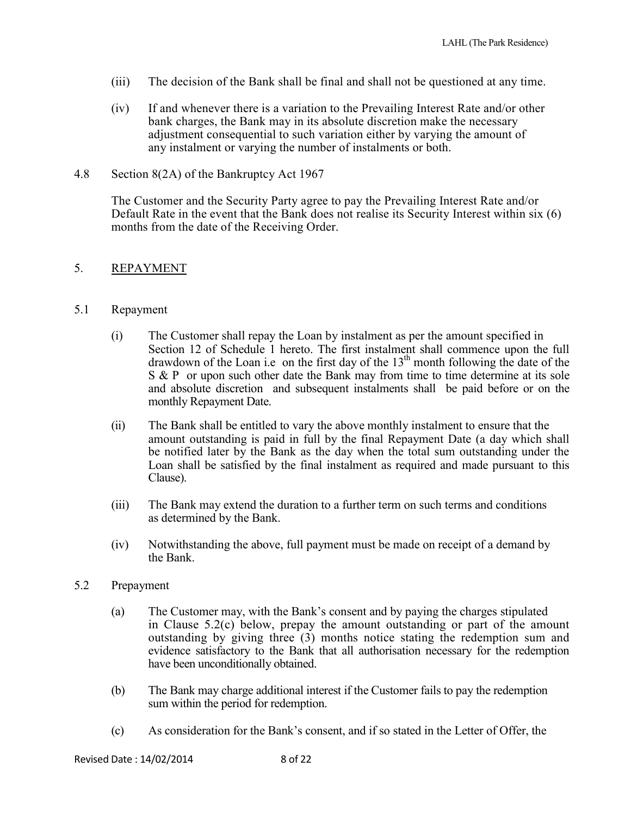- (iii) The decision of the Bank shall be final and shall not be questioned at any time.
- (iv) If and whenever there is a variation to the Prevailing Interest Rate and/or other bank charges, the Bank may in its absolute discretion make the necessary adjustment consequential to such variation either by varying the amount of any instalment or varying the number of instalments or both.
- 4.8 Section 8(2A) of the Bankruptcy Act 1967

The Customer and the Security Party agree to pay the Prevailing Interest Rate and/or Default Rate in the event that the Bank does not realise its Security Interest within six (6) months from the date of the Receiving Order.

#### 5. REPAYMENT

#### 5.1 Repayment

- (i) The Customer shall repay the Loan by instalment as per the amount specified in Section 12 of Schedule 1 hereto. The first instalment shall commence upon the full drawdown of the Loan i.e on the first day of the  $13<sup>th</sup>$  month following the date of the S & P or upon such other date the Bank may from time to time determine at its sole and absolute discretion and subsequent instalments shall be paid before or on the monthly Repayment Date.
- (ii) The Bank shall be entitled to vary the above monthly instalment to ensure that the amount outstanding is paid in full by the final Repayment Date (a day which shall be notified later by the Bank as the day when the total sum outstanding under the Loan shall be satisfied by the final instalment as required and made pursuant to this Clause).
- (iii) The Bank may extend the duration to a further term on such terms and conditions as determined by the Bank.
- (iv) Notwithstanding the above, full payment must be made on receipt of a demand by the Bank.

#### 5.2 Prepayment

- (a) The Customer may, with the Bank's consent and by paying the charges stipulated in Clause 5.2(c) below, prepay the amount outstanding or part of the amount outstanding by giving three (3) months notice stating the redemption sum and evidence satisfactory to the Bank that all authorisation necessary for the redemption have been unconditionally obtained.
- (b) The Bank may charge additional interest if the Customer fails to pay the redemption sum within the period for redemption.
- (c) As consideration for the Bank's consent, and if so stated in the Letter of Offer, the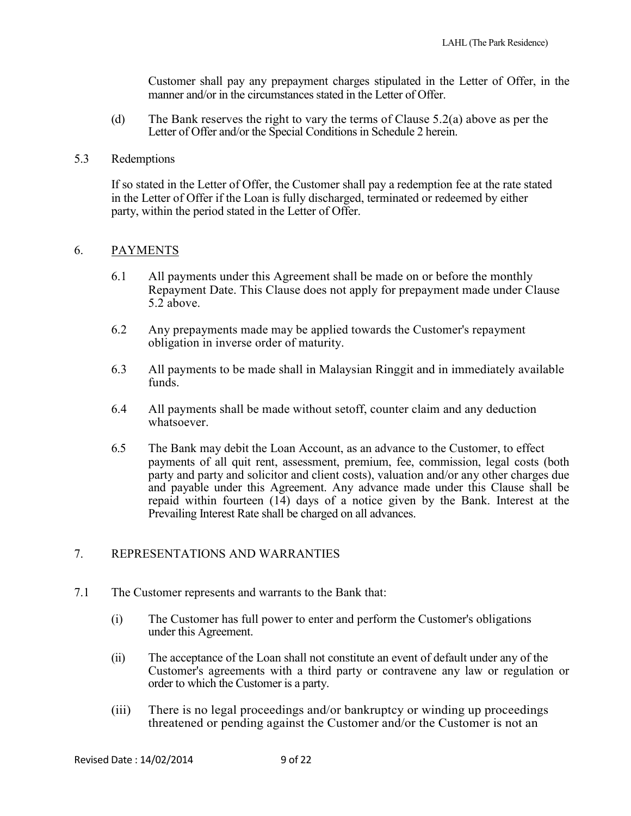Customer shall pay any prepayment charges stipulated in the Letter of Offer, in the manner and/or in the circumstances stated in the Letter of Offer.

(d) The Bank reserves the right to vary the terms of Clause 5.2(a) above as per the Letter of Offer and/or the Special Conditions in Schedule 2 herein.

#### 5.3 Redemptions

If so stated in the Letter of Offer, the Customer shall pay a redemption fee at the rate stated in the Letter of Offer if the Loan is fully discharged, terminated or redeemed by either party, within the period stated in the Letter of Offer.

#### 6. PAYMENTS

- 6.1 All payments under this Agreement shall be made on or before the monthly Repayment Date. This Clause does not apply for prepayment made under Clause 5.2 above.
- 6.2 Any prepayments made may be applied towards the Customer's repayment obligation in inverse order of maturity.
- 6.3 All payments to be made shall in Malaysian Ringgit and in immediately available funds.
- 6.4 All payments shall be made without setoff, counter claim and any deduction whatsoever.
- 6.5 The Bank may debit the Loan Account, as an advance to the Customer, to effect payments of all quit rent, assessment, premium, fee, commission, legal costs (both party and party and solicitor and client costs), valuation and/or any other charges due and payable under this Agreement. Any advance made under this Clause shall be repaid within fourteen  $(14)$  days of a notice given by the Bank. Interest at the Prevailing Interest Rate shall be charged on all advances.

### 7. REPRESENTATIONS AND WARRANTIES

- 7.1 The Customer represents and warrants to the Bank that:
	- (i) The Customer has full power to enter and perform the Customer's obligations under this Agreement.
	- (ii) The acceptance of the Loan shall not constitute an event of default under any of the Customer's agreements with a third party or contravene any law or regulation or order to which the Customer is a party.
	- (iii) There is no legal proceedings and/or bankruptcy or winding up proceedings threatened or pending against the Customer and/or the Customer is not an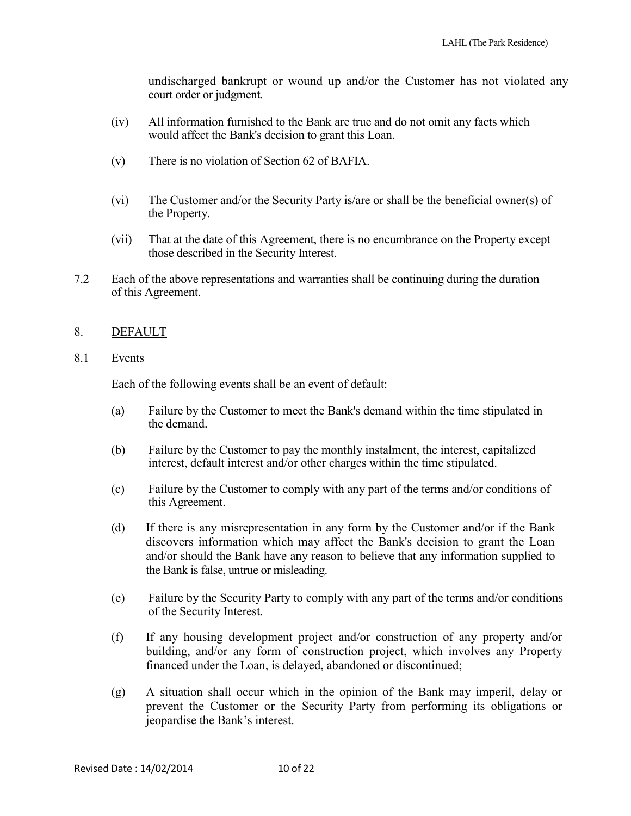undischarged bankrupt or wound up and/or the Customer has not violated any court order or judgment.

- (iv) All information furnished to the Bank are true and do not omit any facts which would affect the Bank's decision to grant this Loan.
- (v) There is no violation of Section 62 of BAFIA.
- (vi) The Customer and/or the Security Party is/are or shall be the beneficial owner(s) of the Property.
- (vii) That at the date of this Agreement, there is no encumbrance on the Property except those described in the Security Interest.
- 7.2 Each of the above representations and warranties shall be continuing during the duration of this Agreement.

### 8. DEFAULT

8.1 Events

Each of the following events shall be an event of default:

- (a) Failure by the Customer to meet the Bank's demand within the time stipulated in the demand.
- (b) Failure by the Customer to pay the monthly instalment, the interest, capitalized interest, default interest and/or other charges within the time stipulated.
- (c) Failure by the Customer to comply with any part of the terms and/or conditions of this Agreement.
- (d) If there is any misrepresentation in any form by the Customer and/or if the Bank discovers information which may affect the Bank's decision to grant the Loan and/or should the Bank have any reason to believe that any information supplied to the Bank is false, untrue or misleading.
- (e) Failure by the Security Party to comply with any part of the terms and/or conditions of the Security Interest.
- (f) If any housing development project and/or construction of any property and/or building, and/or any form of construction project, which involves any Property financed under the Loan, is delayed, abandoned or discontinued;
- (g) A situation shall occur which in the opinion of the Bank may imperil, delay or prevent the Customer or the Security Party from performing its obligations or jeopardise the Bank's interest.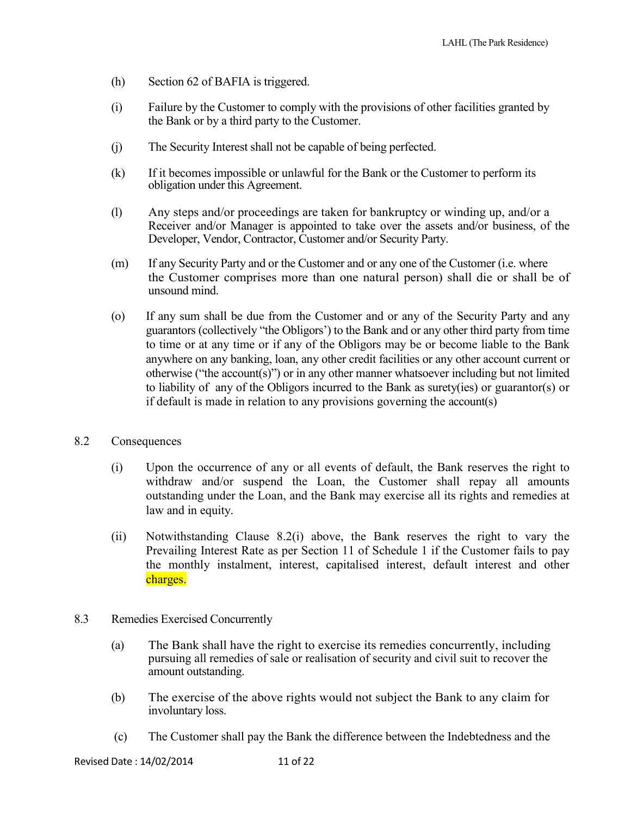- (h) Section 62 of BAFIA is triggered.
- (i) Failure by the Customer to comply with the provisions of other facilities granted by the Bank or by a third party to the Customer.
- (j) The Security Interest shall not be capable of being perfected.
- (k) If it becomes impossible or unlawful for the Bank or the Customer to perform its obligation under this Agreement.
- (l) Any steps and/or proceedings are taken for bankruptcy or winding up, and/or a Receiver and/or Manager is appointed to take over the assets and/or business, of the Developer, Vendor, Contractor, Customer and/or Security Party.
- (m) If any Security Party and or the Customer and or any one of the Customer (i.e. where the Customer comprises more than one natural person) shall die or shall be of unsound mind.
- (o) If any sum shall be due from the Customer and or any of the Security Party and any guarantors (collectively "the Obligors') to the Bank and or any other third party from time to time or at any time or if any of the Obligors may be or become liable to the Bank anywhere on any banking, loan, any other credit facilities or any other account current or otherwise ("the account(s)") or in any other manner whatsoever including but not limited to liability of any of the Obligors incurred to the Bank as surety(ies) or guarantor(s) or if default is made in relation to any provisions governing the account(s)
- 8.2 Consequences
	- (i) Upon the occurrence of any or all events of default, the Bank reserves the right to withdraw and/or suspend the Loan, the Customer shall repay all amounts outstanding under the Loan, and the Bank may exercise all its rights and remedies at law and in equity.
	- (ii) Notwithstanding Clause 8.2(i) above, the Bank reserves the right to vary the Prevailing Interest Rate as per Section 11 of Schedule 1 if the Customer fails to pay the monthly instalment, interest, capitalised interest, default interest and other charges.
- 8.3 Remedies Exercised Concurrently
	- (a) The Bank shall have the right to exercise its remedies concurrently, including pursuing all remedies of sale or realisation of security and civil suit to recover the amount outstanding.
	- (b) The exercise of the above rights would not subject the Bank to any claim for involuntary loss.
	- (c) The Customer shall pay the Bank the difference between the Indebtedness and the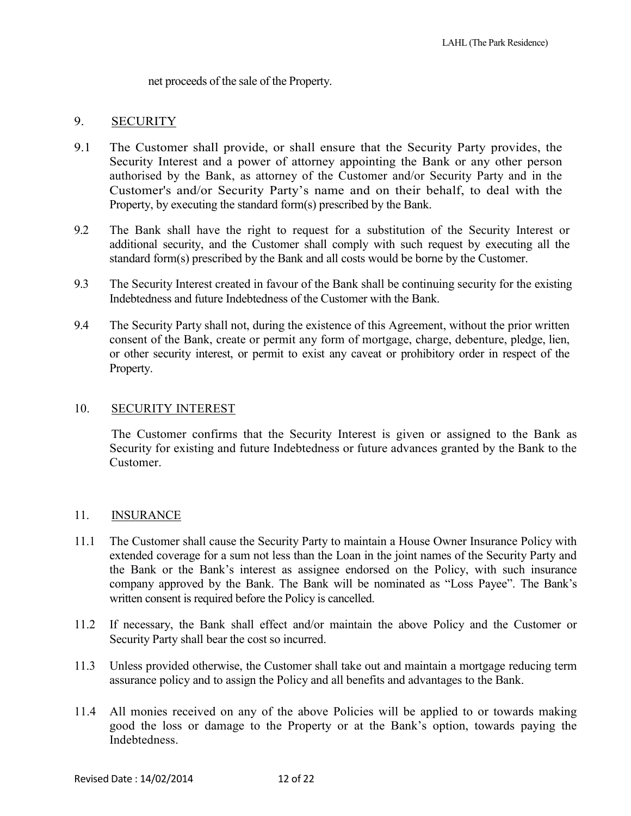net proceeds of the sale of the Property.

### 9. SECURITY

- 9.1 The Customer shall provide, or shall ensure that the Security Party provides, the Security Interest and a power of attorney appointing the Bank or any other person authorised by the Bank, as attorney of the Customer and/or Security Party and in the Customer's and/or Security Party's name and on their behalf, to deal with the Property, by executing the standard form(s) prescribed by the Bank.
- 9.2 The Bank shall have the right to request for a substitution of the Security Interest or additional security, and the Customer shall comply with such request by executing all the standard form(s) prescribed by the Bank and all costs would be borne by the Customer.
- 9.3 The Security Interest created in favour of the Bank shall be continuing security for the existing Indebtedness and future Indebtedness of the Customer with the Bank.
- 9.4 The Security Party shall not, during the existence of this Agreement, without the prior written consent of the Bank, create or permit any form of mortgage, charge, debenture, pledge, lien, or other security interest, or permit to exist any caveat or prohibitory order in respect of the Property.

#### 10. SECURITY INTEREST

The Customer confirms that the Security Interest is given or assigned to the Bank as Security for existing and future Indebtedness or future advances granted by the Bank to the Customer.

#### 11. INSURANCE

- 11.1 The Customer shall cause the Security Party to maintain a House Owner Insurance Policy with extended coverage for a sum not less than the Loan in the joint names of the Security Party and the Bank or the Bank's interest as assignee endorsed on the Policy, with such insurance company approved by the Bank. The Bank will be nominated as "Loss Payee". The Bank's written consent is required before the Policy is cancelled.
- 11.2 If necessary, the Bank shall effect and/or maintain the above Policy and the Customer or Security Party shall bear the cost so incurred.
- 11.3 Unless provided otherwise, the Customer shall take out and maintain a mortgage reducing term assurance policy and to assign the Policy and all benefits and advantages to the Bank.
- 11.4 All monies received on any of the above Policies will be applied to or towards making good the loss or damage to the Property or at the Bank's option, towards paying the Indebtedness.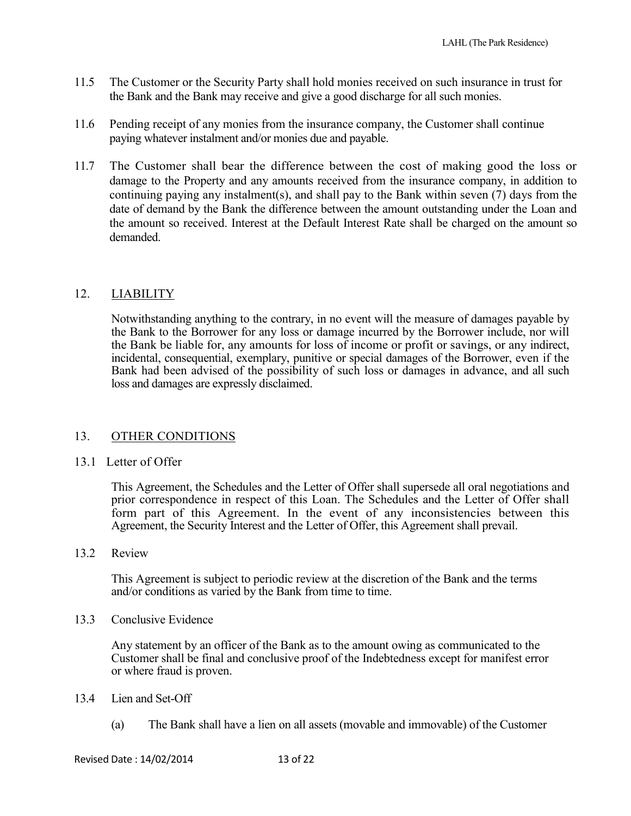- 11.5 The Customer or the Security Party shall hold monies received on such insurance in trust for the Bank and the Bank may receive and give a good discharge for all such monies.
- 11.6 Pending receipt of any monies from the insurance company, the Customer shall continue paying whatever instalment and/or monies due and payable.
- 11.7 The Customer shall bear the difference between the cost of making good the loss or damage to the Property and any amounts received from the insurance company, in addition to continuing paying any instalment(s), and shall pay to the Bank within seven (7) days from the date of demand by the Bank the difference between the amount outstanding under the Loan and the amount so received. Interest at the Default Interest Rate shall be charged on the amount so demanded.

## 12. LIABILITY

Notwithstanding anything to the contrary, in no event will the measure of damages payable by the Bank to the Borrower for any loss or damage incurred by the Borrower include, nor will the Bank be liable for, any amounts for loss of income or profit or savings, or any indirect, incidental, consequential, exemplary, punitive or special damages of the Borrower, even if the Bank had been advised of the possibility of such loss or damages in advance, and all such loss and damages are expressly disclaimed.

### 13. OTHER CONDITIONS

### 13.1 Letter of Offer

This Agreement, the Schedules and the Letter of Offer shall supersede all oral negotiations and prior correspondence in respect of this Loan. The Schedules and the Letter of Offer shall form part of this Agreement. In the event of any inconsistencies between this Agreement, the Security Interest and the Letter of Offer, this Agreement shall prevail.

13.2 Review

This Agreement is subject to periodic review at the discretion of the Bank and the terms and/or conditions as varied by the Bank from time to time.

#### 13.3 Conclusive Evidence

Any statement by an officer of the Bank as to the amount owing as communicated to the Customer shall be final and conclusive proof of the Indebtedness except for manifest error or where fraud is proven.

#### 13.4 Lien and Set-Off

(a) The Bank shall have a lien on all assets (movable and immovable) of the Customer

Revised Date : 14/02/2014 13 of 22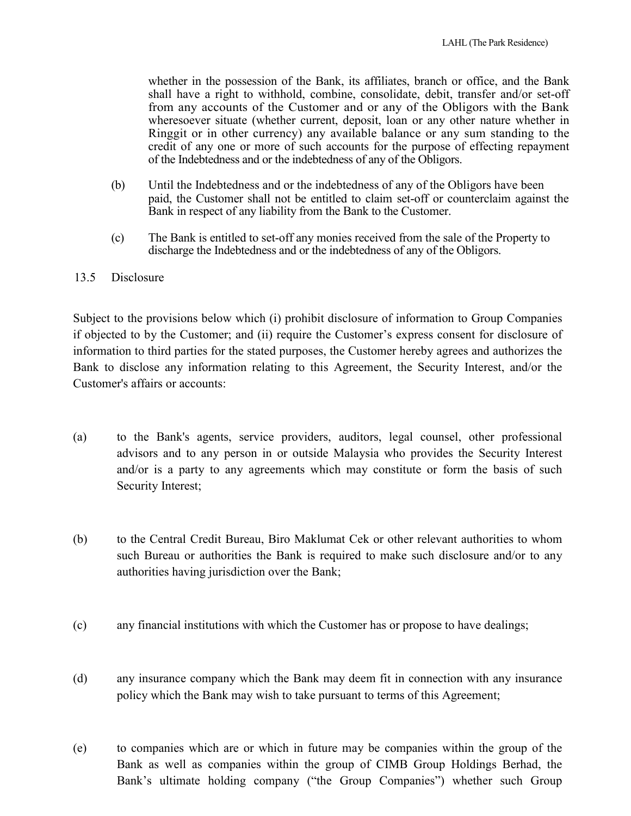whether in the possession of the Bank, its affiliates, branch or office, and the Bank shall have a right to withhold, combine, consolidate, debit, transfer and/or set-off from any accounts of the Customer and or any of the Obligors with the Bank wheresoever situate (whether current, deposit, loan or any other nature whether in Ringgit or in other currency) any available balance or any sum standing to the credit of any one or more of such accounts for the purpose of effecting repayment of the Indebtedness and or the indebtedness of any of the Obligors.

- (b) Until the Indebtedness and or the indebtedness of any of the Obligors have been paid, the Customer shall not be entitled to claim set-off or counterclaim against the Bank in respect of any liability from the Bank to the Customer.
- (c) The Bank is entitled to set-off any monies received from the sale of the Property to discharge the Indebtedness and or the indebtedness of any of the Obligors.

#### 13.5 Disclosure

Subject to the provisions below which (i) prohibit disclosure of information to Group Companies if objected to by the Customer; and (ii) require the Customer's express consent for disclosure of information to third parties for the stated purposes, the Customer hereby agrees and authorizes the Bank to disclose any information relating to this Agreement, the Security Interest, and/or the Customer's affairs or accounts:

- (a) to the Bank's agents, service providers, auditors, legal counsel, other professional advisors and to any person in or outside Malaysia who provides the Security Interest and/or is a party to any agreements which may constitute or form the basis of such Security Interest;
- (b) to the Central Credit Bureau, Biro Maklumat Cek or other relevant authorities to whom such Bureau or authorities the Bank is required to make such disclosure and/or to any authorities having jurisdiction over the Bank;
- (c) any financial institutions with which the Customer has or propose to have dealings;
- (d) any insurance company which the Bank may deem fit in connection with any insurance policy which the Bank may wish to take pursuant to terms of this Agreement;
- (e) to companies which are or which in future may be companies within the group of the Bank as well as companies within the group of CIMB Group Holdings Berhad, the Bank's ultimate holding company ("the Group Companies") whether such Group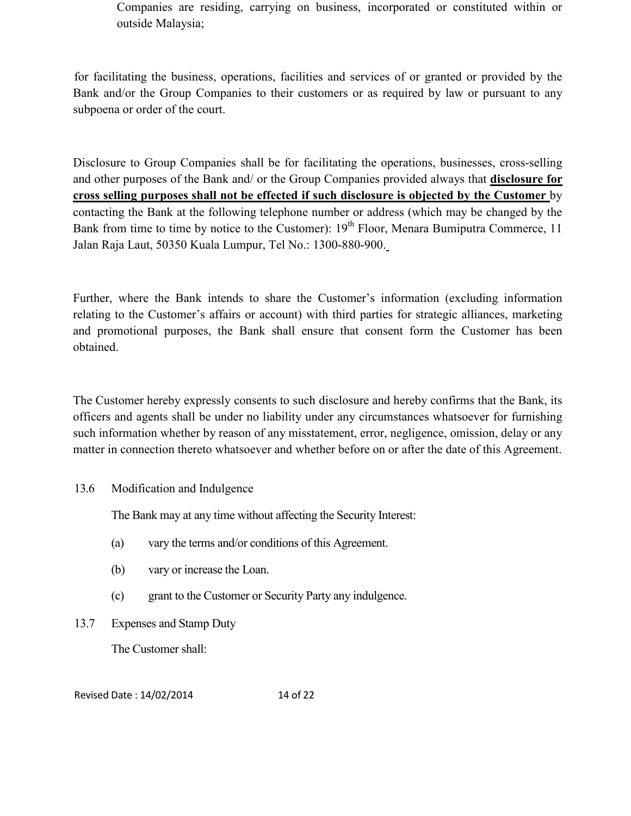Companies are residing, carrying on business, incorporated or constituted within or outside Malaysia;

 for facilitating the business, operations, facilities and services of or granted or provided by the Bank and/or the Group Companies to their customers or as required by law or pursuant to any subpoena or order of the court.

Disclosure to Group Companies shall be for facilitating the operations, businesses, cross-selling and other purposes of the Bank and/ or the Group Companies provided always that **disclosure for cross selling purposes shall not be effected if such disclosure is objected by the Customer** by contacting the Bank at the following telephone number or address (which may be changed by the Bank from time to time by notice to the Customer): 19<sup>th</sup> Floor, Menara Bumiputra Commerce, 11 Jalan Raja Laut, 50350 Kuala Lumpur, Tel No.: 1300-880-900.

Further, where the Bank intends to share the Customer's information (excluding information relating to the Customer's affairs or account) with third parties for strategic alliances, marketing and promotional purposes, the Bank shall ensure that consent form the Customer has been obtained.

The Customer hereby expressly consents to such disclosure and hereby confirms that the Bank, its officers and agents shall be under no liability under any circumstances whatsoever for furnishing such information whether by reason of any misstatement, error, negligence, omission, delay or any matter in connection thereto whatsoever and whether before on or after the date of this Agreement.

### 13.6 Modification and Indulgence

The Bank may at any time without affecting the Security Interest:

- (a) vary the terms and/or conditions of this Agreement.
- (b) vary or increase the Loan.
- (c) grant to the Customer or Security Party any indulgence.
- 13.7 Expenses and Stamp Duty

The Customer shall:

Revised Date : 14/02/2014 14 of 22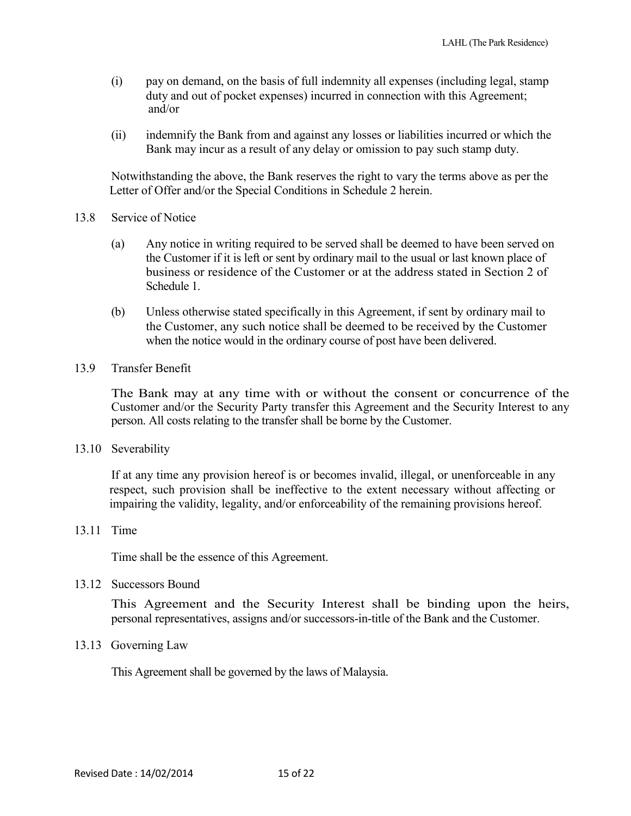- (i) pay on demand, on the basis of full indemnity all expenses (including legal, stamp duty and out of pocket expenses) incurred in connection with this Agreement; and/or
- (ii) indemnify the Bank from and against any losses or liabilities incurred or which the Bank may incur as a result of any delay or omission to pay such stamp duty.

Notwithstanding the above, the Bank reserves the right to vary the terms above as per the Letter of Offer and/or the Special Conditions in Schedule 2 herein.

- 13.8 Service of Notice
	- (a) Any notice in writing required to be served shall be deemed to have been served on the Customer if it is left or sent by ordinary mail to the usual or last known place of business or residence of the Customer or at the address stated in Section 2 of Schedule 1.
	- (b) Unless otherwise stated specifically in this Agreement, if sent by ordinary mail to the Customer, any such notice shall be deemed to be received by the Customer when the notice would in the ordinary course of post have been delivered.
- 13.9 Transfer Benefit

The Bank may at any time with or without the consent or concurrence of the Customer and/or the Security Party transfer this Agreement and the Security Interest to any person. All costs relating to the transfer shall be borne by the Customer.

13.10 Severability

If at any time any provision hereof is or becomes invalid, illegal, or unenforceable in any respect, such provision shall be ineffective to the extent necessary without affecting or impairing the validity, legality, and/or enforceability of the remaining provisions hereof.

13.11 Time

Time shall be the essence of this Agreement.

13.12 Successors Bound

This Agreement and the Security Interest shall be binding upon the heirs, personal representatives, assigns and/or successors-in-title of the Bank and the Customer.

13.13 Governing Law

This Agreement shall be governed by the laws of Malaysia.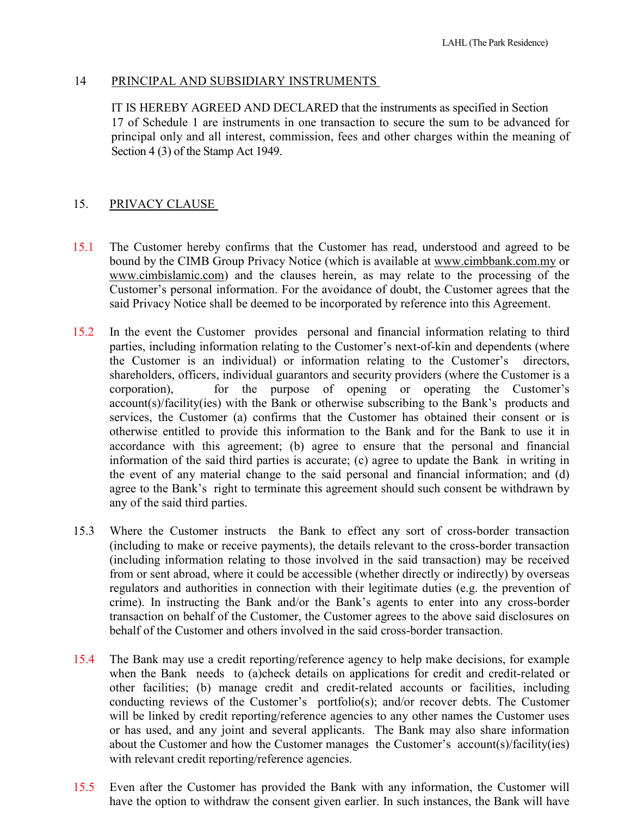### 14 PRINCIPAL AND SUBSIDIARY INSTRUMENTS

IT IS HEREBY AGREED AND DECLARED that the instruments as specified in Section 17 of Schedule 1 are instruments in one transaction to secure the sum to be advanced for principal only and all interest, commission, fees and other charges within the meaning of Section 4 (3) of the Stamp Act 1949.

### 15. PRIVACY CLAUSE

- 15.1 The Customer hereby confirms that the Customer has read, understood and agreed to be bound by the CIMB Group Privacy Notice (which is available at www.cimbbank.com.my or www.cimbislamic.com) and the clauses herein, as may relate to the processing of the Customer's personal information. For the avoidance of doubt, the Customer agrees that the said Privacy Notice shall be deemed to be incorporated by reference into this Agreement.
- 15.2 In the event the Customer provides personal and financial information relating to third parties, including information relating to the Customer's next-of-kin and dependents (where the Customer is an individual) or information relating to the Customer's directors, shareholders, officers, individual guarantors and security providers (where the Customer is a corporation), for the purpose of opening or operating the Customer's account(s)/facility(ies) with the Bank or otherwise subscribing to the Bank's products and services, the Customer (a) confirms that the Customer has obtained their consent or is otherwise entitled to provide this information to the Bank and for the Bank to use it in accordance with this agreement; (b) agree to ensure that the personal and financial information of the said third parties is accurate; (c) agree to update the Bank in writing in the event of any material change to the said personal and financial information; and (d) agree to the Bank's right to terminate this agreement should such consent be withdrawn by any of the said third parties.
- 15.3 Where the Customer instructs the Bank to effect any sort of cross-border transaction (including to make or receive payments), the details relevant to the cross-border transaction (including information relating to those involved in the said transaction) may be received from or sent abroad, where it could be accessible (whether directly or indirectly) by overseas regulators and authorities in connection with their legitimate duties (e.g. the prevention of crime). In instructing the Bank and/or the Bank's agents to enter into any cross-border transaction on behalf of the Customer, the Customer agrees to the above said disclosures on behalf of the Customer and others involved in the said cross-border transaction.
- 15.4 The Bank may use a credit reporting/reference agency to help make decisions, for example when the Bank needs to (a)check details on applications for credit and credit-related or other facilities; (b) manage credit and credit-related accounts or facilities, including conducting reviews of the Customer's portfolio(s); and/or recover debts. The Customer will be linked by credit reporting/reference agencies to any other names the Customer uses or has used, and any joint and several applicants. The Bank may also share information about the Customer and how the Customer manages the Customer's account(s)/facility(ies) with relevant credit reporting/reference agencies.
- 15.5 Even after the Customer has provided the Bank with any information, the Customer will have the option to withdraw the consent given earlier. In such instances, the Bank will have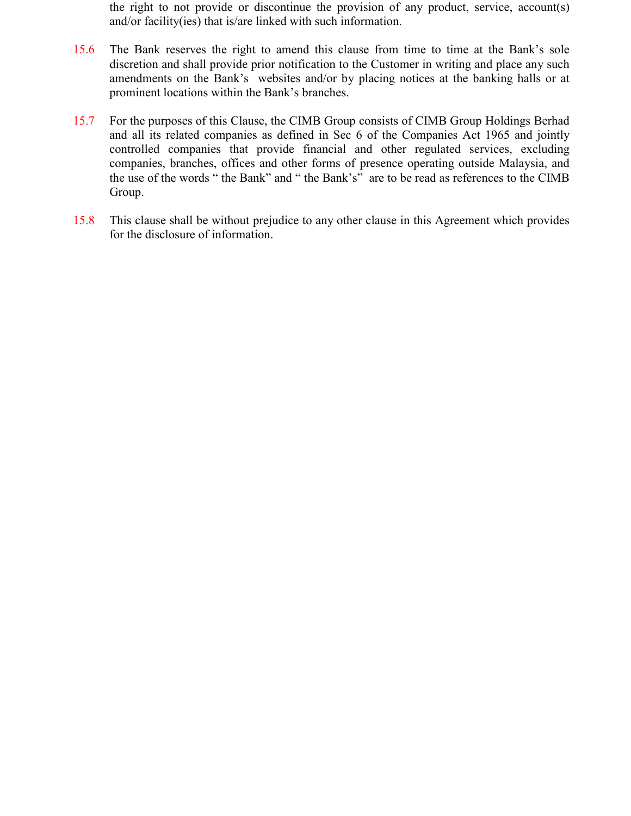the right to not provide or discontinue the provision of any product, service, account(s) and/or facility(ies) that is/are linked with such information.

- 15.6 The Bank reserves the right to amend this clause from time to time at the Bank's sole discretion and shall provide prior notification to the Customer in writing and place any such amendments on the Bank's websites and/or by placing notices at the banking halls or at prominent locations within the Bank's branches.
- 15.7 For the purposes of this Clause, the CIMB Group consists of CIMB Group Holdings Berhad and all its related companies as defined in Sec 6 of the Companies Act 1965 and jointly controlled companies that provide financial and other regulated services, excluding companies, branches, offices and other forms of presence operating outside Malaysia, and the use of the words " the Bank" and " the Bank's" are to be read as references to the CIMB Group.
- 15.8 This clause shall be without prejudice to any other clause in this Agreement which provides for the disclosure of information.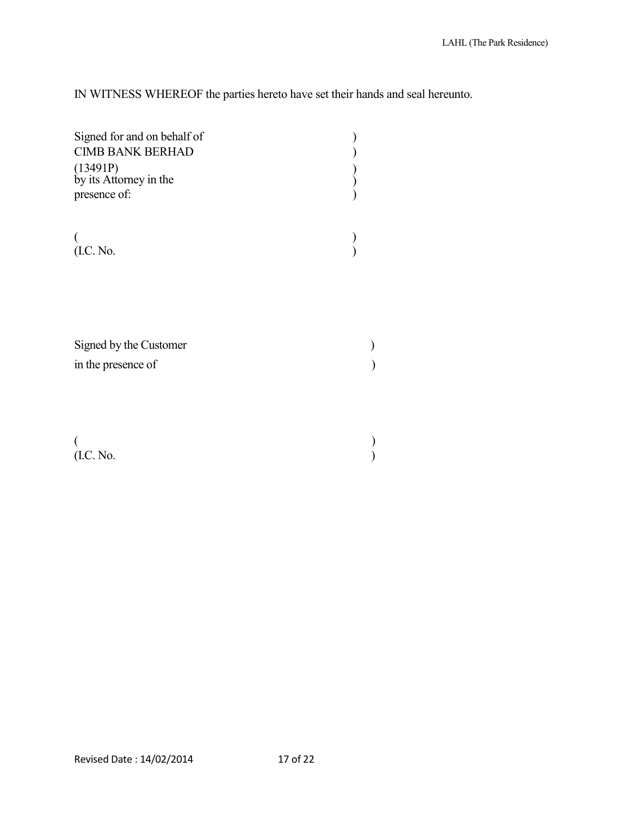IN WITNESS WHEREOF the parties hereto have set their hands and seal hereunto.

| Signed for and on behalf of<br><b>CIMB BANK BERHAD</b><br>(13491P)<br>by its Attorney in the<br>presence of: |  |
|--------------------------------------------------------------------------------------------------------------|--|
| (I.C. No.                                                                                                    |  |
| Signed by the Customer<br>in the presence of                                                                 |  |
| (I.C. No.                                                                                                    |  |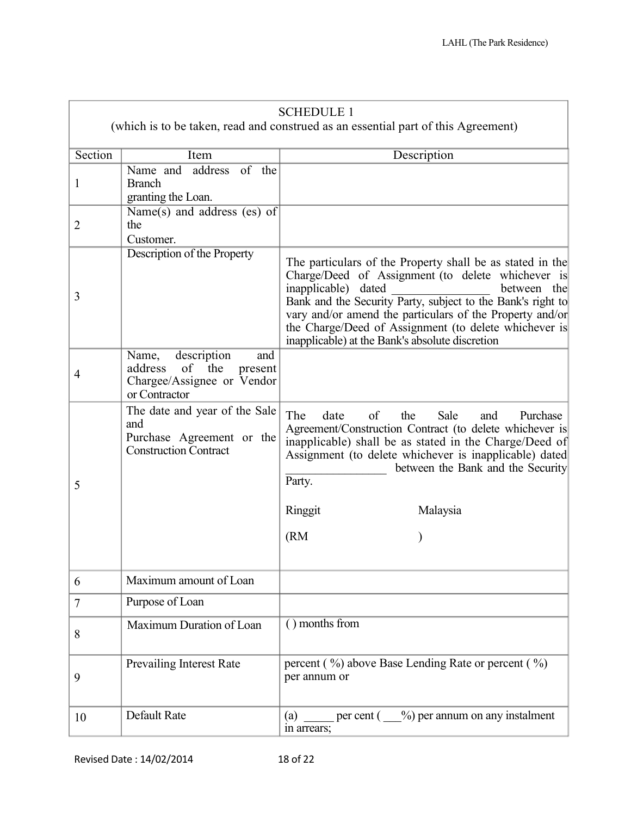|                | <b>SCHEDULE 1</b>                                                                                          |                                                                                                                                                                                                                                                                                                                                                                                             |  |  |  |  |
|----------------|------------------------------------------------------------------------------------------------------------|---------------------------------------------------------------------------------------------------------------------------------------------------------------------------------------------------------------------------------------------------------------------------------------------------------------------------------------------------------------------------------------------|--|--|--|--|
|                |                                                                                                            | (which is to be taken, read and construed as an essential part of this Agreement)                                                                                                                                                                                                                                                                                                           |  |  |  |  |
| Section        | Item                                                                                                       | Description                                                                                                                                                                                                                                                                                                                                                                                 |  |  |  |  |
| 1              | Name and address of the<br><b>Branch</b><br>granting the Loan.                                             |                                                                                                                                                                                                                                                                                                                                                                                             |  |  |  |  |
| 2              | Name(s) and address $(es)$ of<br>the<br>Customer.                                                          |                                                                                                                                                                                                                                                                                                                                                                                             |  |  |  |  |
| 3              | Description of the Property                                                                                | The particulars of the Property shall be as stated in the<br>Charge/Deed of Assignment (to delete whichever is<br>inapplicable) dated<br>between the<br>Bank and the Security Party, subject to the Bank's right to<br>vary and/or amend the particulars of the Property and/or<br>the Charge/Deed of Assignment (to delete whichever is<br>inapplicable) at the Bank's absolute discretion |  |  |  |  |
| $\overline{4}$ | description<br>Name,<br>and<br>of the<br>address<br>present<br>Chargee/Assignee or Vendor<br>or Contractor |                                                                                                                                                                                                                                                                                                                                                                                             |  |  |  |  |
| 5              | The date and year of the Sale<br>and<br>Purchase Agreement or the<br><b>Construction Contract</b>          | The<br>of<br>the<br>date<br>Sale<br>Purchase<br>and<br>Agreement/Construction Contract (to delete whichever is<br>inapplicable) shall be as stated in the Charge/Deed of<br>Assignment (to delete whichever is inapplicable) dated<br>between the Bank and the Security<br>Party.                                                                                                           |  |  |  |  |
|                |                                                                                                            | Ringgit<br>Malaysia                                                                                                                                                                                                                                                                                                                                                                         |  |  |  |  |
|                |                                                                                                            | (RM)                                                                                                                                                                                                                                                                                                                                                                                        |  |  |  |  |
| 6              | Maximum amount of Loan                                                                                     |                                                                                                                                                                                                                                                                                                                                                                                             |  |  |  |  |
| $\tau$         | Purpose of Loan                                                                                            |                                                                                                                                                                                                                                                                                                                                                                                             |  |  |  |  |
| 8              | Maximum Duration of Loan                                                                                   | () months from                                                                                                                                                                                                                                                                                                                                                                              |  |  |  |  |
| 9              | <b>Prevailing Interest Rate</b>                                                                            | percent (%) above Base Lending Rate or percent (%)<br>per annum or                                                                                                                                                                                                                                                                                                                          |  |  |  |  |
| 10             | Default Rate                                                                                               | per cent $($ , $\%$ ) per annum on any instalment<br>(a)<br>in arrears;                                                                                                                                                                                                                                                                                                                     |  |  |  |  |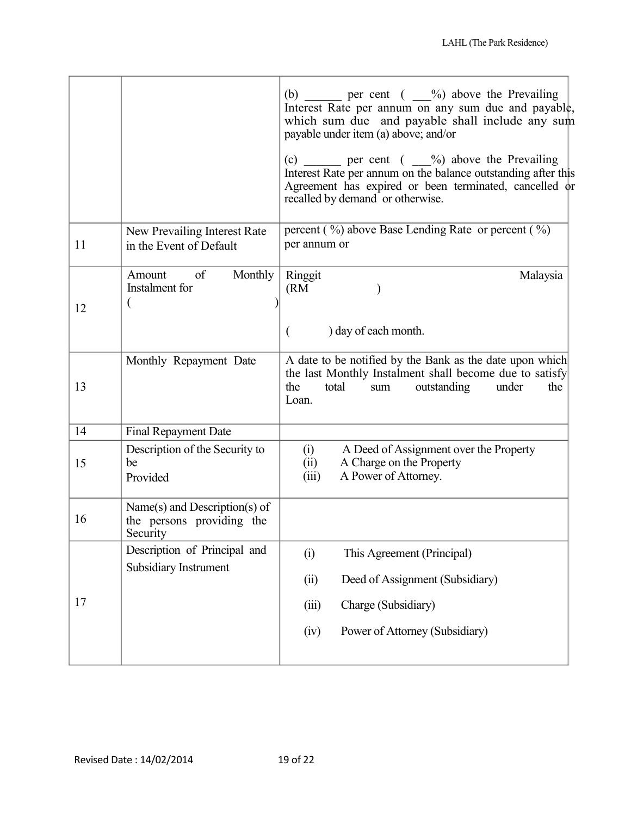| (b) ______ per cent $($ __%) above the Prevailing<br>Interest Rate per annum on any sum due and payable,<br>which sum due and payable shall include any sum                       |
|-----------------------------------------------------------------------------------------------------------------------------------------------------------------------------------|
| (c) _______ per cent $(\_\_\_\%)$ above the Prevailing<br>Interest Rate per annum on the balance outstanding after this<br>Agreement has expired or been terminated, cancelled or |
| percent $(\frac{9}{0})$ above Base Lending Rate or percent $(\frac{9}{0})$                                                                                                        |
| Malaysia                                                                                                                                                                          |
| A date to be notified by the Bank as the date upon which<br>the last Monthly Instalment shall become due to satisfy<br>the                                                        |
|                                                                                                                                                                                   |
| A Deed of Assignment over the Property                                                                                                                                            |
|                                                                                                                                                                                   |
|                                                                                                                                                                                   |
|                                                                                                                                                                                   |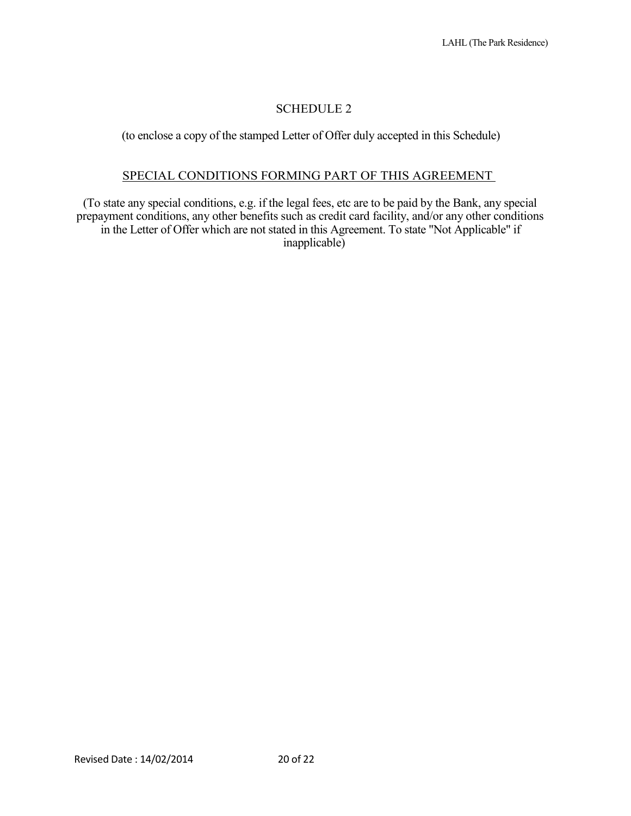## SCHEDULE 2

(to enclose a copy of the stamped Letter of Offer duly accepted in this Schedule)

### SPECIAL CONDITIONS FORMING PART OF THIS AGREEMENT

(To state any special conditions, e.g. if the legal fees, etc are to be paid by the Bank, any special prepayment conditions, any other benefits such as credit card facility, and/or any other conditions in the Letter of Offer which are not stated in this Agreement. To state "Not Applicable" if inapplicable)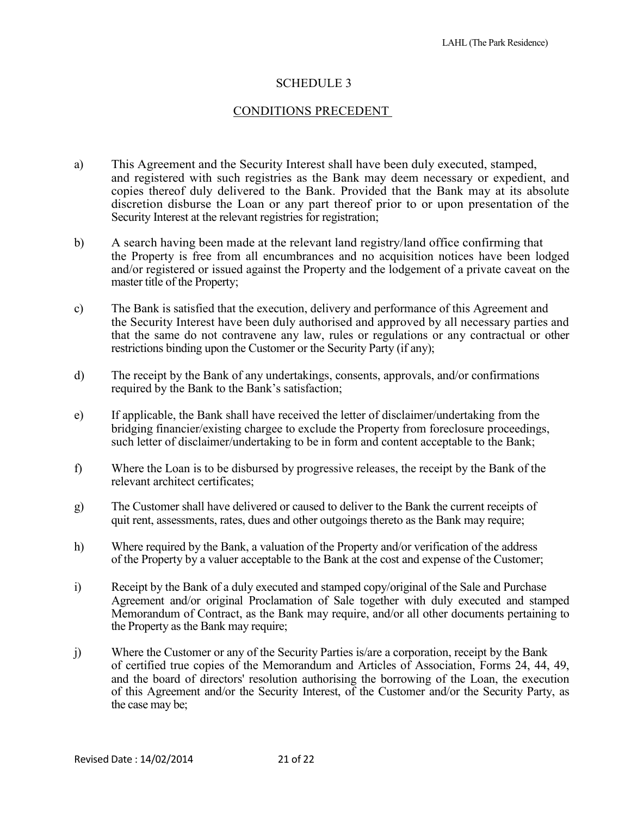## SCHEDULE 3

### CONDITIONS PRECEDENT

- a) This Agreement and the Security Interest shall have been duly executed, stamped, and registered with such registries as the Bank may deem necessary or expedient, and copies thereof duly delivered to the Bank. Provided that the Bank may at its absolute discretion disburse the Loan or any part thereof prior to or upon presentation of the Security Interest at the relevant registries for registration;
- b) A search having been made at the relevant land registry/land office confirming that the Property is free from all encumbrances and no acquisition notices have been lodged and/or registered or issued against the Property and the lodgement of a private caveat on the master title of the Property;
- c) The Bank is satisfied that the execution, delivery and performance of this Agreement and the Security Interest have been duly authorised and approved by all necessary parties and that the same do not contravene any law, rules or regulations or any contractual or other restrictions binding upon the Customer or the Security Party (if any);
- d) The receipt by the Bank of any undertakings, consents, approvals, and/or confirmations required by the Bank to the Bank's satisfaction;
- e) If applicable, the Bank shall have received the letter of disclaimer/undertaking from the bridging financier/existing chargee to exclude the Property from foreclosure proceedings, such letter of disclaimer/undertaking to be in form and content acceptable to the Bank;
- f) Where the Loan is to be disbursed by progressive releases, the receipt by the Bank of the relevant architect certificates;
- g) The Customer shall have delivered or caused to deliver to the Bank the current receipts of quit rent, assessments, rates, dues and other outgoings thereto as the Bank may require;
- h) Where required by the Bank, a valuation of the Property and/or verification of the address of the Property by a valuer acceptable to the Bank at the cost and expense of the Customer;
- i) Receipt by the Bank of a duly executed and stamped copy/original of the Sale and Purchase Agreement and/or original Proclamation of Sale together with duly executed and stamped Memorandum of Contract, as the Bank may require, and/or all other documents pertaining to the Property as the Bank may require;
- j) Where the Customer or any of the Security Parties is/are a corporation, receipt by the Bank of certified true copies of the Memorandum and Articles of Association, Forms 24, 44, 49, and the board of directors' resolution authorising the borrowing of the Loan, the execution of this Agreement and/or the Security Interest, of the Customer and/or the Security Party, as the case may be;